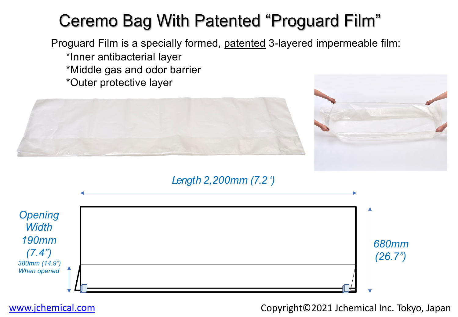# **Ceremo Bag With Patented "Proguard Fill**

Proguard Film is a specially formed, patented 3-layered impermeable film: \*Inner antibacterial layer \*Middle gas and odor barrier \*Outer protective layer



## *Length 2,200mm (7.2 ')*

| Opening<br><b>Width</b><br><b>190mm</b><br>(7.4") |   |
|---------------------------------------------------|---|
| 380mm (14.9")                                     |   |
| When opened                                       | _ |
|                                                   |   |

www.jchemical.com com Copyright©2021 Jchen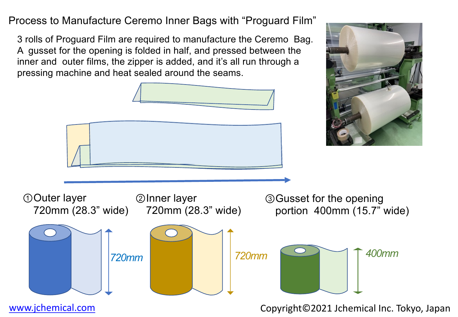Process to Manufacture Ceremo Inner Bags with "Proguard Film"

3 rolls of Proguard Film are required to manufacture the Ceremo Bag. A gusset for the opening is folded in half, and pressed between the inner and outer films, the zipper is added, and it's all run through a pressing machine and heat sealed around the seams.

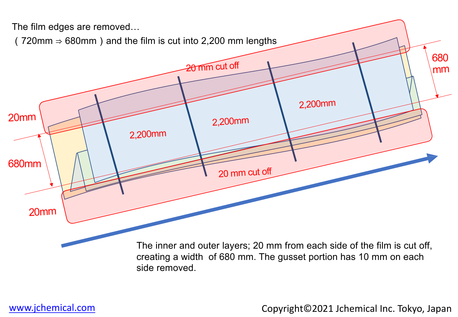

www.jchemical.com com Copyright©2021 Jchen